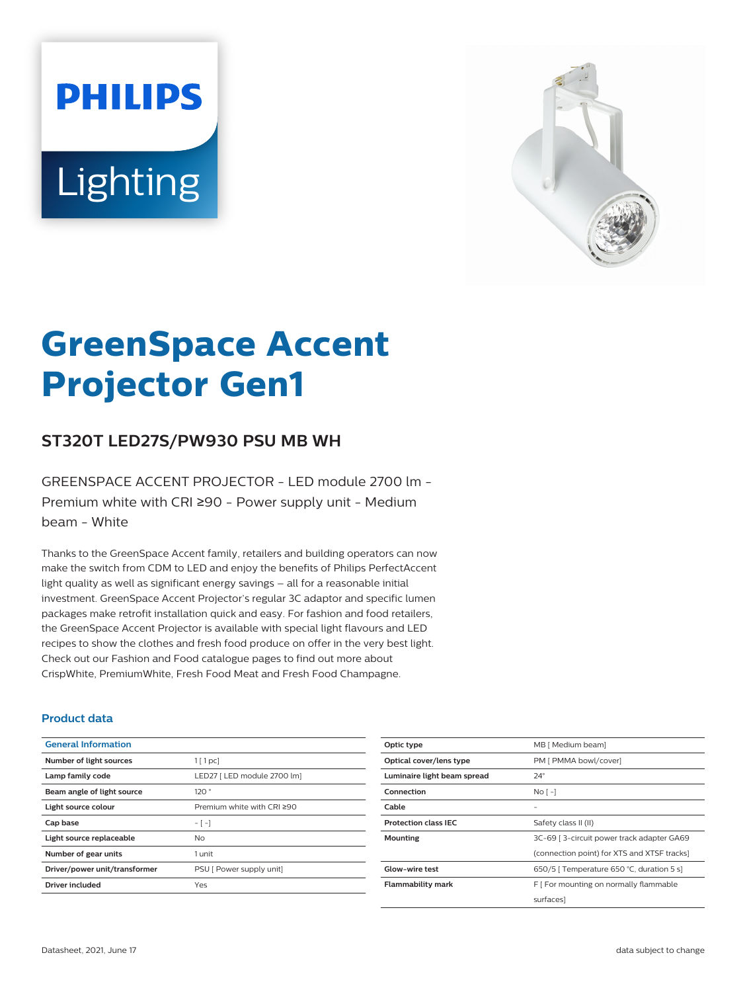# **PHILIPS** Lighting



## **GreenSpace Accent Projector Gen1**

#### **ST320T LED27S/PW930 PSU MB WH**

GREENSPACE ACCENT PROJECTOR - LED module 2700 lm - Premium white with CRI ≥90 - Power supply unit - Medium beam - White

Thanks to the GreenSpace Accent family, retailers and building operators can now make the switch from CDM to LED and enjoy the benefits of Philips PerfectAccent light quality as well as significant energy savings – all for a reasonable initial investment. GreenSpace Accent Projector's regular 3C adaptor and specific lumen packages make retrofit installation quick and easy. For fashion and food retailers, the GreenSpace Accent Projector is available with special light flavours and LED recipes to show the clothes and fresh food produce on offer in the very best light. Check out our Fashion and Food catalogue pages to find out more about CrispWhite, PremiumWhite, Fresh Food Meat and Fresh Food Champagne.

#### **Product data**

| <b>General Information</b>    |                             |
|-------------------------------|-----------------------------|
| Number of light sources       | $1$ [ 1 pc]                 |
| Lamp family code              | LED27   LED module 2700 lm] |
| Beam angle of light source    | 120°                        |
| Light source colour           | Premium white with CRI ≥90  |
| Cap base                      | - [ -]                      |
| Light source replaceable      | Nο                          |
| Number of gear units          | 1 unit                      |
| Driver/power unit/transformer | PSU [ Power supply unit]    |
| Driver included               | Yes                         |

| Optic type                  | MB [ Medium beam]                           |
|-----------------------------|---------------------------------------------|
| Optical cover/lens type     | PM [ PMMA bowl/cover]                       |
| Luminaire light beam spread | $24^{\circ}$                                |
| Connection                  | No <sub>1</sub>                             |
| Cable                       |                                             |
| <b>Protection class IEC</b> | Safety class II (II)                        |
| Mounting                    | 3C-69   3-circuit power track adapter GA69  |
|                             | (connection point) for XTS and XTSF tracks) |
| Glow-wire test              | 650/5   Temperature 650 °C, duration 5 s]   |
| <b>Flammability mark</b>    | F [ For mounting on normally flammable      |
|                             | surfaces]                                   |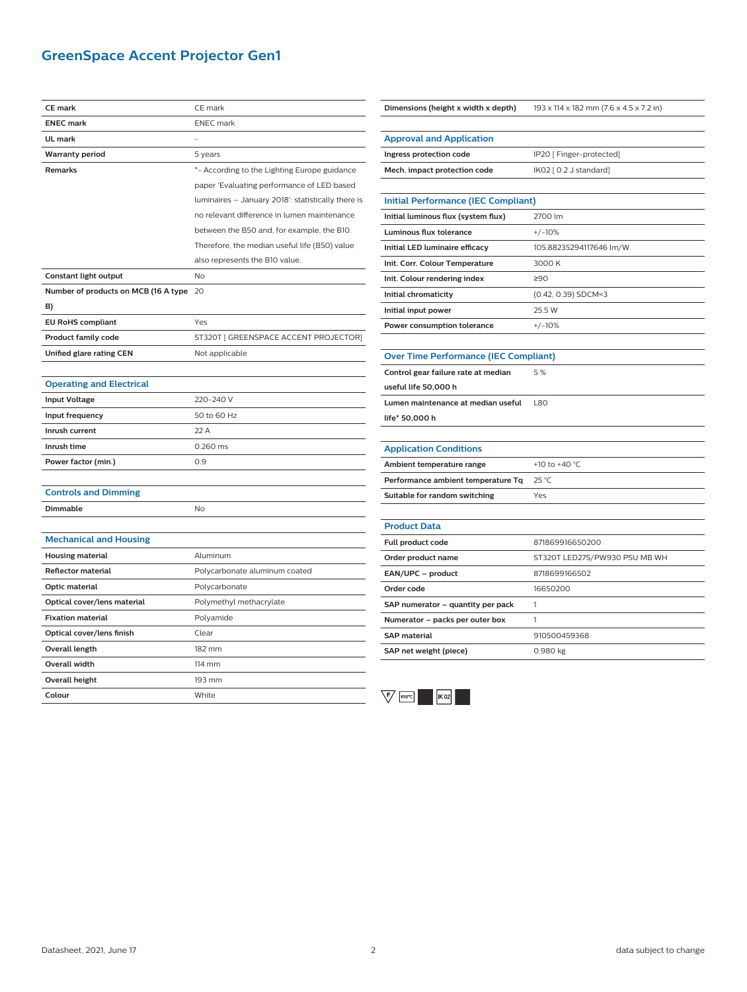#### **GreenSpace Accent Projector Gen1**

| <b>CE</b> mark                       | CE mark                                            |
|--------------------------------------|----------------------------------------------------|
| <b>ENEC mark</b>                     | <b>ENEC</b> mark                                   |
| UL mark                              |                                                    |
| <b>Warranty period</b>               | 5 years                                            |
| Remarks                              | *- According to the Lighting Europe guidance       |
|                                      | paper 'Evaluating performance of LED based         |
|                                      | luminaires - January 2018': statistically there is |
|                                      | no relevant difference in lumen maintenance        |
|                                      | between the B50 and, for example, the B10.         |
|                                      | Therefore, the median useful life (B50) value      |
|                                      | also represents the B10 value.                     |
| Constant light output                | No                                                 |
| Number of products on MCB (16 A type | 20                                                 |
| B)                                   |                                                    |
| <b>EU RoHS compliant</b>             | Yes                                                |
| <b>Product family code</b>           | ST320T [ GREENSPACE ACCENT PROJECTOR]              |
| Unified glare rating CEN             | Not applicable                                     |
|                                      |                                                    |
| <b>Operating and Electrical</b>      |                                                    |
| <b>Input Voltage</b>                 | 220-240 V                                          |
| Input frequency                      | 50 to 60 Hz                                        |
| Inrush current                       | 22 A                                               |
| Inrush time                          | 0.260 ms                                           |
| Power factor (min.)                  | 0.9                                                |
|                                      |                                                    |
| <b>Controls and Dimming</b>          |                                                    |
| <b>Dimmable</b>                      | <b>No</b>                                          |
|                                      |                                                    |
| <b>Mechanical and Housing</b>        |                                                    |
| <b>Housing material</b>              | Aluminum                                           |
| Reflector material                   | Polycarbonate aluminum coated                      |
| Optic material                       | Polycarbonate                                      |
| Optical cover/lens material          | Polymethyl methacrylate                            |
| <b>Fixation material</b>             | Polyamide                                          |
| Optical cover/lens finish            | Clear                                              |
| Overall length                       | 182 mm                                             |
| Overall width                        | 114 mm                                             |
| <b>Overall height</b>                | 193 mm                                             |
| Colour                               | White                                              |

| Dimensions (height x width x depth)          | 193 x 114 x 182 mm (7.6 x 4.5 x 7.2 in) |
|----------------------------------------------|-----------------------------------------|
|                                              |                                         |
| <b>Approval and Application</b>              |                                         |
| Ingress protection code                      | IP20 [ Finger-protected]                |
| Mech. impact protection code                 | IK02 [ 0.2 J standard]                  |
| <b>Initial Performance (IEC Compliant)</b>   |                                         |
| Initial luminous flux (system flux)          | 2700 lm                                 |
| Luminous flux tolerance                      | $+/-10%$                                |
| Initial LED luminaire efficacy               | 105.88235294117646 lm/W                 |
| Init. Corr. Colour Temperature               | 3000K                                   |
| Init. Colour rendering index                 | ≥90                                     |
|                                              |                                         |
| Initial chromaticity                         | (0.42, 0.39) SDCM<3                     |
| Initial input power                          | 25.5 W                                  |
| Power consumption tolerance                  | $+/-10%$                                |
| <b>Over Time Performance (IEC Compliant)</b> |                                         |
| Control gear failure rate at median          | 5%                                      |
| useful life 50,000 h                         |                                         |
| Lumen maintenance at median useful           | <b>L80</b>                              |
| life* 50,000 h                               |                                         |
|                                              |                                         |
| <b>Application Conditions</b>                |                                         |
| Ambient temperature range                    | +10 to +40 °C                           |
| Performance ambient temperature Tq           | 25 °C                                   |
| Suitable for random switching                | Yes                                     |
| <b>Product Data</b>                          |                                         |
|                                              |                                         |
| <b>Full product code</b>                     | 871869916650200                         |
| Order product name                           | ST320T LED27S/PW930 PSU MB WH           |
| EAN/UPC - product                            | 8718699166502                           |
| Order code                                   | 16650200                                |
| SAP numerator - quantity per pack            | 1                                       |
| Numerator - packs per outer box              | 1                                       |
| <b>SAP</b> material                          | 910500459368                            |
| SAP net weight (piece)                       | 0.980 kg                                |
|                                              |                                         |

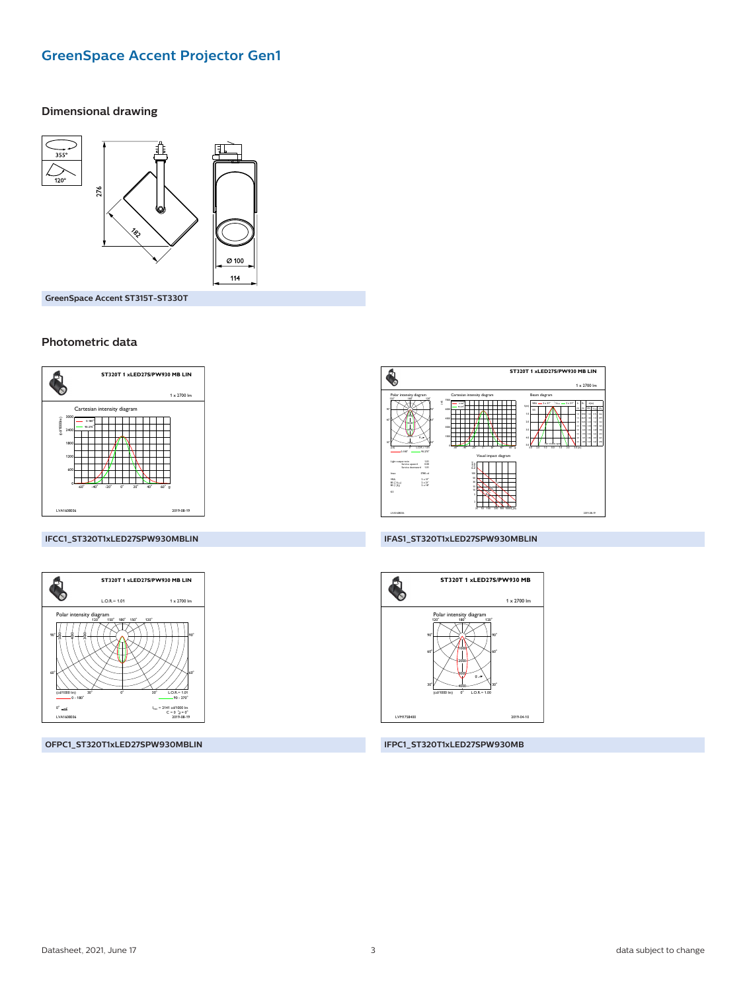#### **GreenSpace Accent Projector Gen1**

#### **Dimensional drawing**



GreenSpace Accent ST315T-ST330T

#### Photometric data



### ST320T 1 xLED27S/PW930 MB LIN  $\ddot{\bullet}$  $1 - 270$  $1.01$ <br> $0.00$ <br> $1.01$  $2 \times 31$ <br> $2 \times 21$ <br> $2 \times 21$ <br> $2 \times 10$  $\begin{array}{l} \mathtt{VBA} \\ \mathtt{BS} \left( t \right)_{\mathtt{max}} \\ \mathtt{BS} \left( t \right)_{\mathtt{S}} \end{array}$

#### IFCC1\_ST320T1xLED27SPW930MBLIN



OFPC1\_ST320T1xLED27SPW930MBLIN

#### IFAS1\_ST320T1xLED27SPW930MBLIN



IFPC1\_ST320T1xLED27SPW930MB